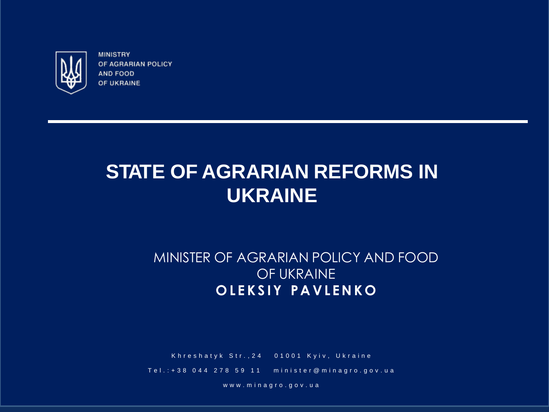

# **STATE OF AGRARIAN REFORMS IN UKRAINE**

#### MINISTER OF AGRARIAN POLICY AND FOOD OF UKRAINE **OLEKSI Y PAVLENK O**

Khreshatyk Str., 24 01001 Kyiv, Ukraine

Tel.: + 38 0 4 4 2 7 8 5 9 11 minister@minagro.gov.ua

www.minagro.gov.ua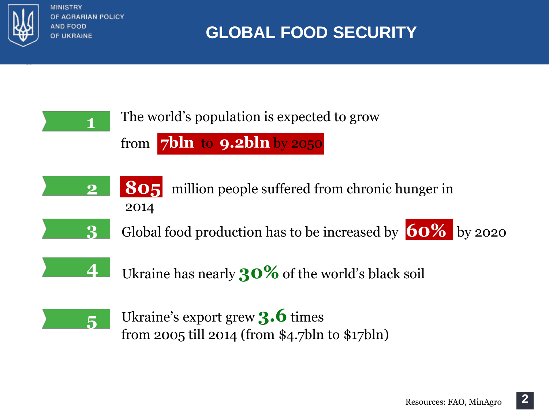

**1**

**3**

# **GLOBAL FOOD SECURITY**

### The world's population is expected to grow

from **7bln** to **9.2bln** by 2050

- 2014 **2 805** million people suffered from chronic hunger in
	- Global food production has to be increased by **60%** by 2020



Ukraine has nearly **30%** of the world's black soil



Ukraine's export grew **3.6** times from 2005 till 2014 (from \$4.7bln to \$17bln)

**2**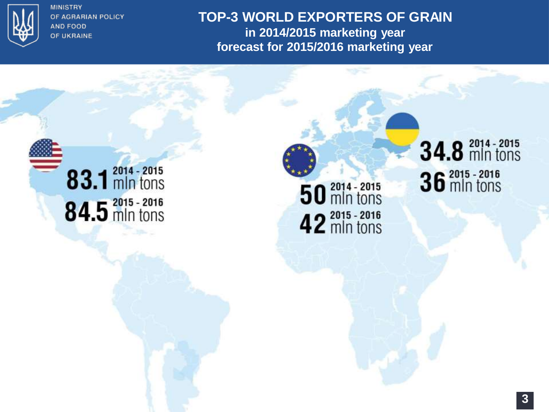

**TOP-3 WORLD EXPORTERS OF GRAIN in 2014/2015 marketing year forecast for 2015/2016 marketing year**



50 and - 2015 42 mln tons

# **34.8** mln tons 36<sup>2015</sup> - 2016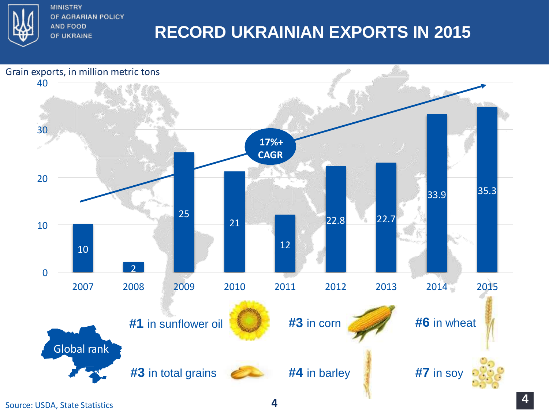

# **RECORD UKRAINIAN EXPORTS IN 2015**



Source: USDA, State Statistics **4**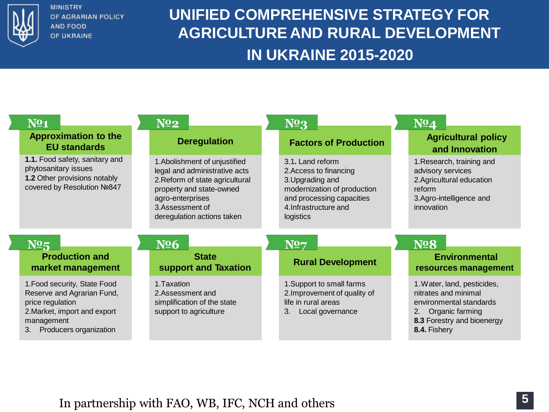

## **UNIFIED COMPREHENSIVE STRATEGY FOR AGRICULTURE AND RURAL DEVELOPMENT IN UKRAINE 2015-2020**

| N <sub>21</sub>                                                                                                       | $N^{\Omega}2$                                                                                                                                                                                      | N <sub>2</sub> 3                                                                                                                                                 | $N^{\mathbf{0}}4$                                                                                                             |
|-----------------------------------------------------------------------------------------------------------------------|----------------------------------------------------------------------------------------------------------------------------------------------------------------------------------------------------|------------------------------------------------------------------------------------------------------------------------------------------------------------------|-------------------------------------------------------------------------------------------------------------------------------|
| <b>Approximation to the</b><br><b>EU standards</b>                                                                    | <b>Deregulation</b>                                                                                                                                                                                | <b>Factors of Production</b>                                                                                                                                     | <b>Agricultural policy</b><br>and Innovation                                                                                  |
| 1.1. Food safety, sanitary and<br>phytosanitary issues<br>1.2 Other provisions notably<br>covered by Resolution Nº847 | 1. Abolishment of unjustified<br>legal and administrative acts<br>2. Reform of state agricultural<br>property and state-owned<br>agro-enterprises<br>3.Assessment of<br>deregulation actions taken | 3.1. Land reform<br>2. Access to financing<br>3. Upgrading and<br>modernization of production<br>and processing capacities<br>4. Infrastructure and<br>logistics | 1. Research, training and<br>advisory services<br>2.Agricultural education<br>reform<br>3.Agro-intelligence and<br>innovation |
| N <sub>25</sub>                                                                                                       | <b>Nº6</b>                                                                                                                                                                                         | N27                                                                                                                                                              | <b>Nº8</b>                                                                                                                    |
| <b>Production and</b><br>market management                                                                            | <b>State</b><br>support and Taxation                                                                                                                                                               | <b>Rural Development</b>                                                                                                                                         | <b>Environmental</b><br>resources management                                                                                  |
| 1. Food security, State Food<br>Reserve and Agrarian Fund,<br>price regulation<br>2. Market, import and export        | 1. Taxation<br>2.Assessment and<br>simplification of the state<br>support to agriculture                                                                                                           | 1. Support to small farms<br>2. Improvement of quality of<br>life in rural areas<br>Local governance<br>3.                                                       | 1. Water, land, pesticides,<br>nitrates and minimal<br>environmental standards<br>2. Organic farming                          |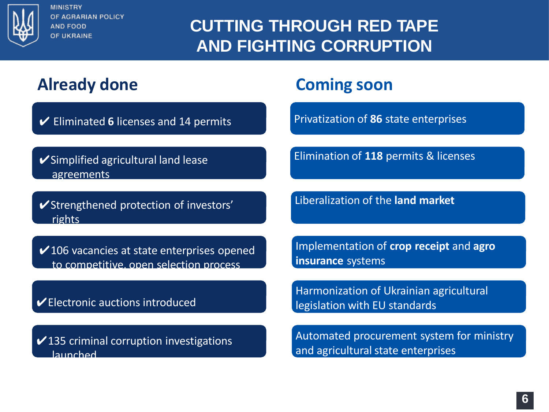

# **CUTTING THROUGH RED TAPE AND FIGHTING CORRUPTION**

## **Already done**

✔ Eliminated **6** licenses and 14 permits

**✔Simplified agricultural land lease** agreements

✔Strengthened protection of investors' rights

 $\checkmark$  106 vacancies at state enterprises opened to competitive, open selection process

✔Electronic auctions introduced

 $\checkmark$  135 criminal corruption investigations launched

### **Coming soon**

Privatization of **86** state enterprises

Elimination of **118** permits & licenses

Liberalization of the **land market**

Implementation of **crop receipt** and **agro insurance** systems

Harmonization of Ukrainian agricultural legislation with EU standards

Automated procurement system for ministry and agricultural state enterprises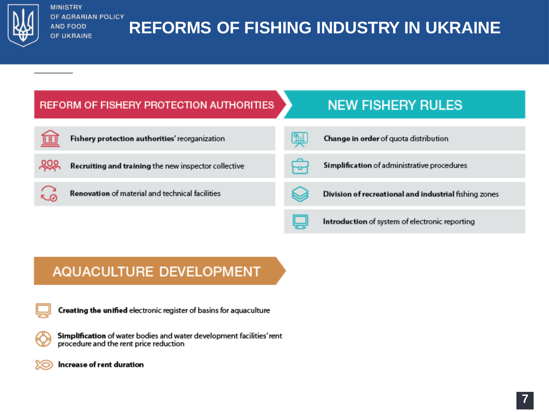

# **REFORMS OF FISHING INDUSTRY IN UKRAINE**



#### AQUACULTURE DEVELOPMENT



Creating the unified electronic register of basins for aquaculture

Simplification of water bodies and water development facilities' rent procedure and the rent price reduction



Increase of rent duration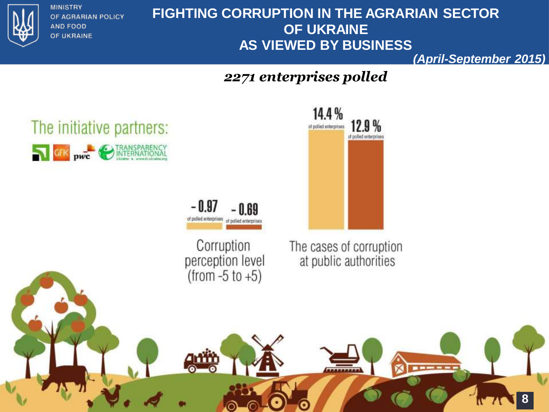

#### **FIGHTING CORRUPTION IN THE AGRARIAN SECTOR OF UKRAINE AS VIEWED BY BUSINESS**

**(April-September 2015)**

#### *2271 enterprises polled*

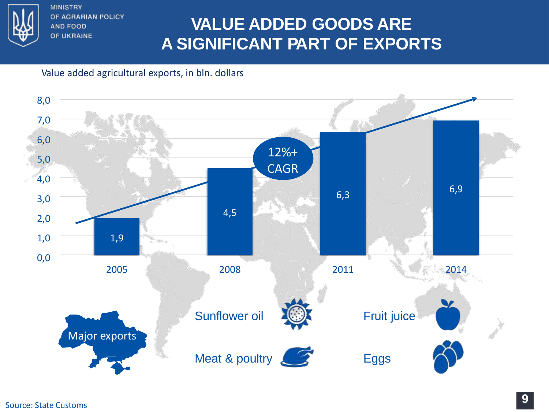

# **VALUE ADDED GOODS ARE A SIGNIFICANT PART OF EXPORTS**

#### Value added agricultural exports, in bln. dollars

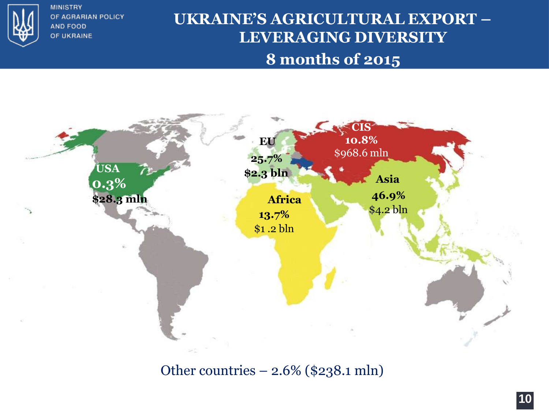

### **UKRAINE'S AGRICULTURAL EXPORT – LEVERAGING DIVERSITY 8 months of 2015**



Other countries – 2.6% (\$238.1 mln)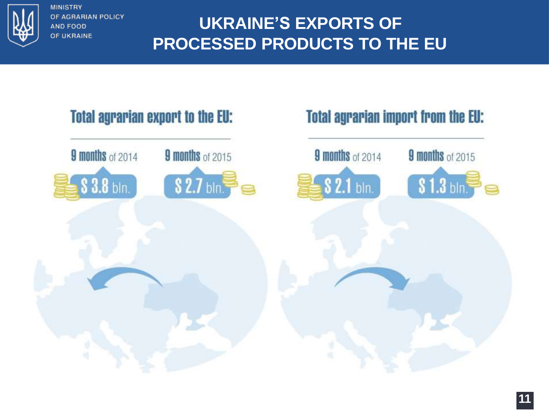

# **UKRAINE'S EXPORTS OF PROCESSED PRODUCTS TO THE EU**

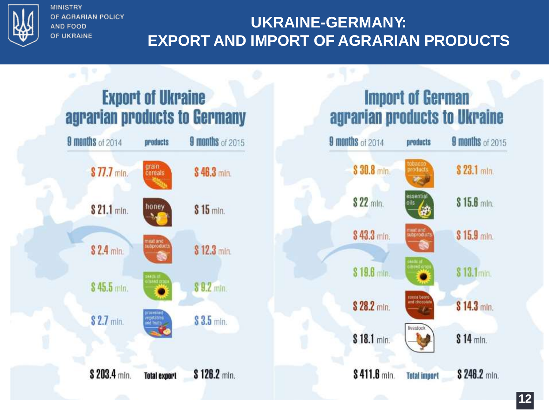

## **UKRAINE-GERMANY: EXPORT AND IMPORT OF AGRARIAN PRODUCTS**

9 months of 2014

# **Export of Ukraine** agrarian products to Germany



# **Import of German** agrarian products to Ukraine

products

9 months of 2015

| \$30.8 min.   | tobacco<br>products        | \$23.1 mln.  |
|---------------|----------------------------|--------------|
| \$22 mln.     | essential<br>oils          | $$15.6$ min. |
| \$43.3 min.   | meat and<br>subproducts    | $$15.9$ min. |
| $$19.6$ min.  | dientis of<br>allseed ard  | \$13.1min.   |
| \$28.2 mln.   | cocca beans<br>nd chocolat | \$14.3 mln.  |
| \$18.1 mln.   | livestock                  | \$14 mln.    |
| $$411.6$ min. | <b>Tetal import</b>        | \$ 246.2 min |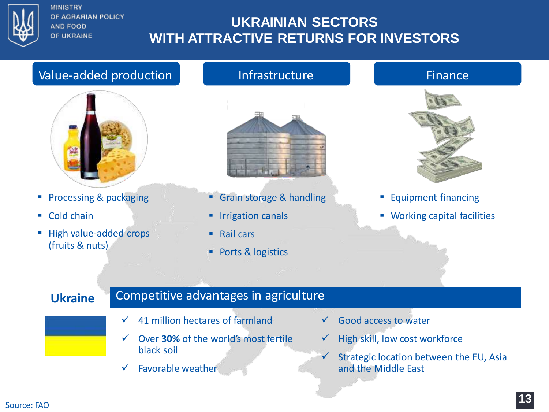

#### **UKRAINIAN SECTORS WITH ATTRACTIVE RETURNS FOR INVESTORS**

#### Value-added production and infrastructure and all the Finance



- **Processing & packaging**
- Cold chain
- High value-added crops (fruits & nuts)



- Grain storage & handling
- **Irrigation canals**
- $\blacksquare$  Rail cars
- **Ports & logistics**



- **Equipment financing**
- **Working capital facilities**

#### **Ukraine** Competitive advantages in agriculture

- $\checkmark$  41 million hectares of farmland
- Over **30%** of the world's most fertile black soil
- $\checkmark$  Favorable weather
- $\checkmark$  Good access to water
- $\checkmark$  High skill, low cost workforce

 $\checkmark$  Strategic location between the EU, Asia and the Middle East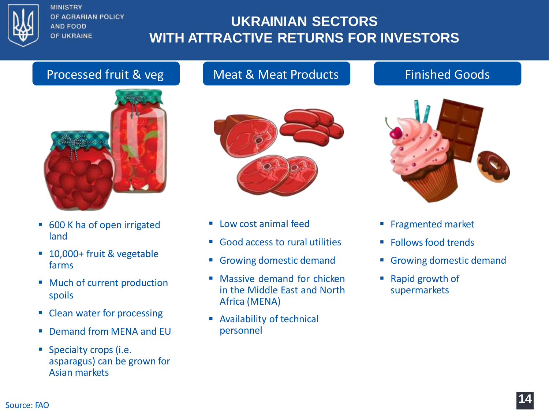

#### **UKRAINIAN SECTORS WITH ATTRACTIVE RETURNS FOR INVESTORS**

#### Processed fruit & veg | Meat & Meat Products | Finished Goods



- 600 K ha of open irrigated land
- 10,000+ fruit & vegetable farms
- Much of current production spoils
- Clean water for processing
- Demand from MENA and EU
- **Specialty crops (i.e.** asparagus) can be grown for Asian markets



- $\blacksquare$  Low cost animal feed
- Good access to rural utilities
- Growing domestic demand
- **Massive demand for chicken** in the Middle East and North Africa (MENA)
- Availability of technical personnel



- **Fragmented market**
- **Follows food trends**
- Growing domestic demand
- Rapid growth of supermarkets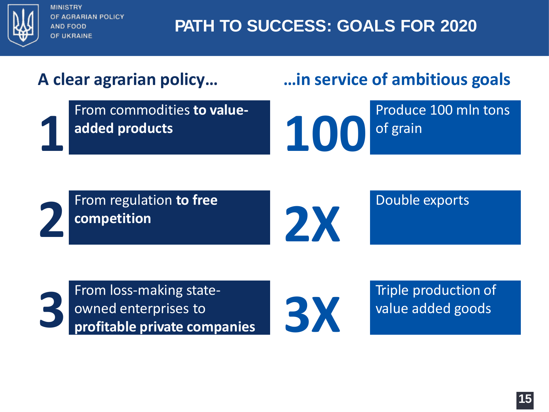

# **PATH TO SUCCESS: GOALS FOR 2020**

**2**

From commodities **to valueadded products 1**

# **A clear agrarian policy… …in service of ambitious goals**

Produce 100 mln tons **100** of grain

From regulation **to free competition**

**2X**

Double exports

From loss-making stateowned enterprises to **profitable private companies 3**



Triple production of value added goods